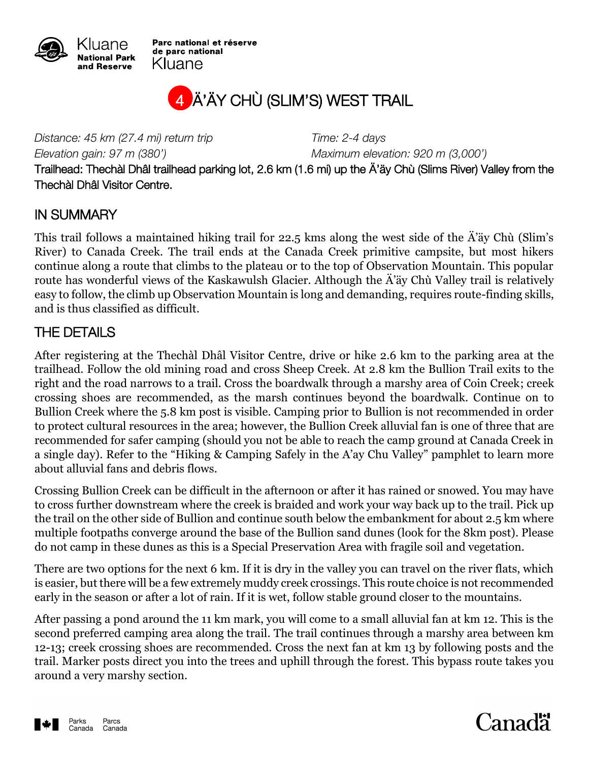

Parc national et réserve de parc national Kluane

# 4 Ä'ÄY CHÙ (SLIM'S) WEST TRAIL

*Distance: 45 km (27.4 mi) return trip Time: 2-4 days Elevation gain: 97 m (380') Maximum elevation: 920 m (3,000')*

Trailhead: Thechàl Dhâl trailhead parking lot, 2.6 km (1.6 mi) up the Ä'äy Chù (Slims River) Valley from the Thechàl Dhâl Visitor Centre.

#### IN SUMMARY

This trail follows a maintained hiking trail for 22.5 kms along the west side of the Ä'äy Chù (Slim's River) to Canada Creek. The trail ends at the Canada Creek primitive campsite, but most hikers continue along a route that climbs to the plateau or to the top of Observation Mountain. This popular route has wonderful views of the Kaskawulsh Glacier. Although the Ä'äy Chù Valley trail is relatively easy to follow, the climb up Observation Mountain is long and demanding, requires route-finding skills, and is thus classified as difficult.

### THE DETAILS

After registering at the Thechàl Dhâl Visitor Centre, drive or hike 2.6 km to the parking area at the trailhead. Follow the old mining road and cross Sheep Creek. At 2.8 km the Bullion Trail exits to the right and the road narrows to a trail. Cross the boardwalk through a marshy area of Coin Creek; creek crossing shoes are recommended, as the marsh continues beyond the boardwalk. Continue on to Bullion Creek where the 5.8 km post is visible. Camping prior to Bullion is not recommended in order to protect cultural resources in the area; however, the Bullion Creek alluvial fan is one of three that are recommended for safer camping (should you not be able to reach the camp ground at Canada Creek in a single day). Refer to the "Hiking & Camping Safely in the A'ay Chu Valley" pamphlet to learn more about alluvial fans and debris flows.

Crossing Bullion Creek can be difficult in the afternoon or after it has rained or snowed. You may have to cross further downstream where the creek is braided and work your way back up to the trail. Pick up the trail on the other side of Bullion and continue south below the embankment for about 2.5 km where multiple footpaths converge around the base of the Bullion sand dunes (look for the 8km post). Please do not camp in these dunes as this is a Special Preservation Area with fragile soil and vegetation.

There are two options for the next 6 km. If it is dry in the valley you can travel on the river flats, which is easier, but there will be a few extremely muddy creek crossings. This route choice is not recommended early in the season or after a lot of rain. If it is wet, follow stable ground closer to the mountains.

After passing a pond around the 11 km mark, you will come to a small alluvial fan at km 12. This is the second preferred camping area along the trail. The trail continues through a marshy area between km 12-13; creek crossing shoes are recommended. Cross the next fan at km 13 by following posts and the trail. Marker posts direct you into the trees and uphill through the forest. This bypass route takes you around a very marshy section.



# Canadä<sup>r</sup>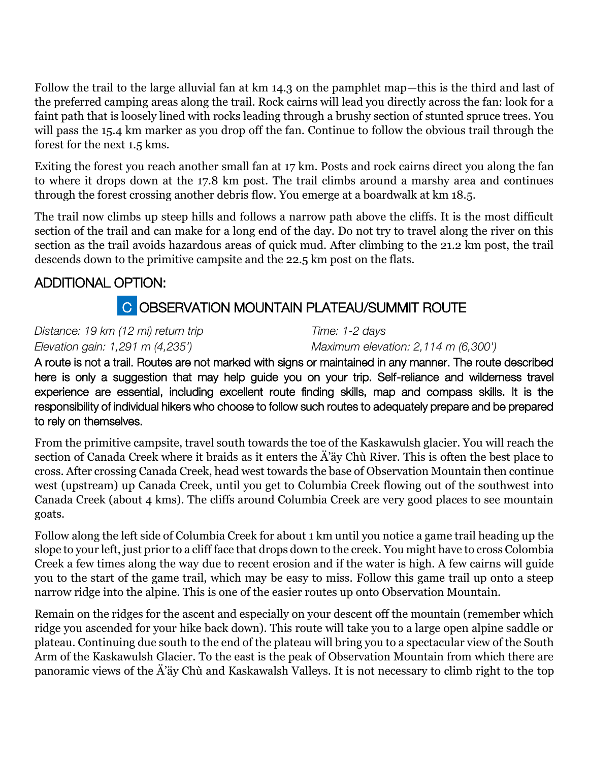Follow the trail to the large alluvial fan at km 14.3 on the pamphlet map—this is the third and last of the preferred camping areas along the trail. Rock cairns will lead you directly across the fan: look for a faint path that is loosely lined with rocks leading through a brushy section of stunted spruce trees. You will pass the 15.4 km marker as you drop off the fan. Continue to follow the obvious trail through the forest for the next 1.5 kms.

Exiting the forest you reach another small fan at 17 km. Posts and rock cairns direct you along the fan to where it drops down at the 17.8 km post. The trail climbs around a marshy area and continues through the forest crossing another debris flow. You emerge at a boardwalk at km 18.5.

The trail now climbs up steep hills and follows a narrow path above the cliffs. It is the most difficult section of the trail and can make for a long end of the day. Do not try to travel along the river on this section as the trail avoids hazardous areas of quick mud. After climbing to the 21.2 km post, the trail descends down to the primitive campsite and the 22.5 km post on the flats.

### ADDITIONAL OPTION:

## C OBSERVATION MOUNTAIN PLATEAU/SUMMIT ROUTE

*Distance: 19 km (12 mi) return trip Time: 1-2 days*

*Elevation gain: 1,291 m (4,235') Maximum elevation: 2,114 m (6,300')*

A route is not a trail. Routes are not marked with signs or maintained in any manner. The route described here is only a suggestion that may help guide you on your trip. Self-reliance and wilderness travel experience are essential, including excellent route finding skills, map and compass skills. It is the responsibility of individual hikers who choose to follow such routes to adequately prepare and be prepared to rely on themselves.

From the primitive campsite, travel south towards the toe of the Kaskawulsh glacier. You will reach the section of Canada Creek where it braids as it enters the Ä'äy Chù River. This is often the best place to cross. After crossing Canada Creek, head west towards the base of Observation Mountain then continue west (upstream) up Canada Creek, until you get to Columbia Creek flowing out of the southwest into Canada Creek (about 4 kms). The cliffs around Columbia Creek are very good places to see mountain goats.

Follow along the left side of Columbia Creek for about 1 km until you notice a game trail heading up the slope to your left, just prior to a cliff face that drops down to the creek. You might have to cross Colombia Creek a few times along the way due to recent erosion and if the water is high. A few cairns will guide you to the start of the game trail, which may be easy to miss. Follow this game trail up onto a steep narrow ridge into the alpine. This is one of the easier routes up onto Observation Mountain.

Remain on the ridges for the ascent and especially on your descent off the mountain (remember which ridge you ascended for your hike back down). This route will take you to a large open alpine saddle or plateau. Continuing due south to the end of the plateau will bring you to a spectacular view of the South Arm of the Kaskawulsh Glacier. To the east is the peak of Observation Mountain from which there are panoramic views of the Ä'äy Chù and Kaskawalsh Valleys. It is not necessary to climb right to the top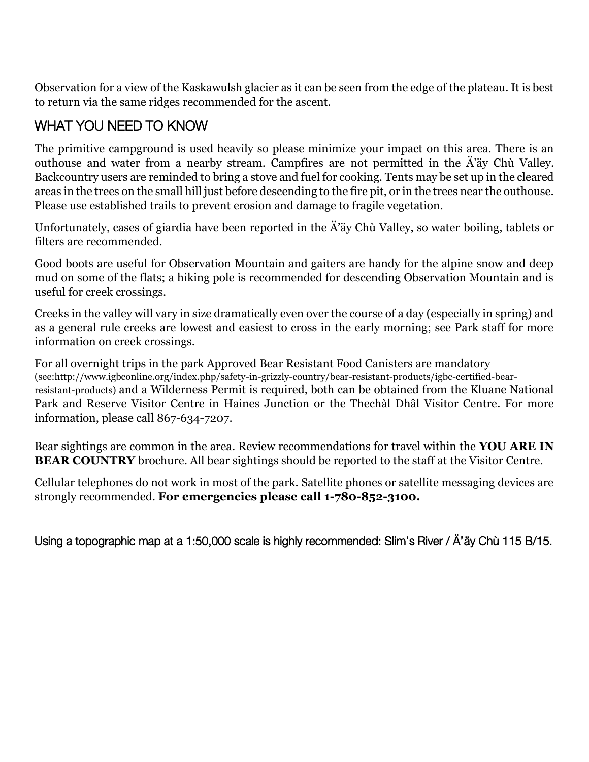Observation for a view of the Kaskawulsh glacier as it can be seen from the edge of the plateau. It is best to return via the same ridges recommended for the ascent.

### WHAT YOU NEED TO KNOW

The primitive campground is used heavily so please minimize your impact on this area. There is an outhouse and water from a nearby stream. Campfires are not permitted in the Ä'äy Chù Valley. Backcountry users are reminded to bring a stove and fuel for cooking. Tents may be set up in the cleared areas in the trees on the small hill just before descending to the fire pit, or in the trees near the outhouse. Please use established trails to prevent erosion and damage to fragile vegetation.

Unfortunately, cases of giardia have been reported in the Ä'äy Chù Valley, so water boiling, tablets or filters are recommended.

Good boots are useful for Observation Mountain and gaiters are handy for the alpine snow and deep mud on some of the flats; a hiking pole is recommended for descending Observation Mountain and is useful for creek crossings.

Creeks in the valley will vary in size dramatically even over the course of a day (especially in spring) and as a general rule creeks are lowest and easiest to cross in the early morning; see Park staff for more information on creek crossings.

For all overnight trips in the park Approved Bear Resistant Food Canisters are mandatory (see:http://www.igbconline.org/index.php/safety-in-grizzly-country/bear-resistant-products/igbc-certified-bearresistant-products) and a Wilderness Permit is required, both can be obtained from the Kluane National Park and Reserve Visitor Centre in Haines Junction or the Thechàl Dhâl Visitor Centre. For more information, please call 867-634-7207.

Bear sightings are common in the area. Review recommendations for travel within the **YOU ARE IN BEAR COUNTRY** brochure. All bear sightings should be reported to the staff at the Visitor Centre.

Cellular telephones do not work in most of the park. Satellite phones or satellite messaging devices are strongly recommended. **For emergencies please call 1-780-852-3100.**

Using a topographic map at a 1:50,000 scale is highly recommended: Slim's River / Ä'äy Chù 115 B/15.